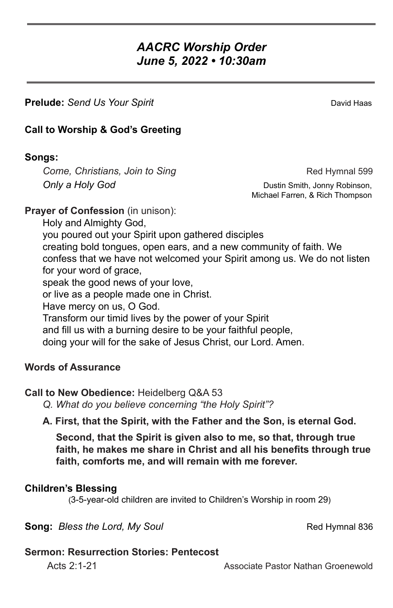# *AACRC Worship Order June 5, 2022 • 10:30am*

**Prelude:** *Send Us Your Spirit* David Haas **David Haas** 

# **Call to Worship & God's Greeting**

## **Songs:**

*Come, Christians, Join to Sing* **Red Hymnal 599 Only a Holy God Dustin Smith, Jonny Robinson,** 

Michael Farren, & Rich Thompson

**Prayer of Confession** (in unison):

Holy and Almighty God, you poured out your Spirit upon gathered disciples creating bold tongues, open ears, and a new community of faith. We confess that we have not welcomed your Spirit among us. We do not listen for your word of grace, speak the good news of your love, or live as a people made one in Christ. Have mercy on us, O God. Transform our timid lives by the power of your Spirit and fill us with a burning desire to be your faithful people, doing your will for the sake of Jesus Christ, our Lord. Amen.

## **Words of Assurance**

## **Call to New Obedience:** Heidelberg Q&A 53

*Q. What do you believe concerning "the Holy Spirit"?* 

**A. First, that the Spirit, with the Father and the Son, is eternal God.**

**Second, that the Spirit is given also to me, so that, through true faith, he makes me share in Christ and all his benefits through true faith, comforts me, and will remain with me forever.**

## **Children's Blessing**

(3-5-year-old children are invited to Children's Worship in room 29)

**Song:** *Bless the Lord, My Soul* **Red Hymnal 836** 

## **Sermon: Resurrection Stories: Pentecost**

Acts 2:1-21 Associate Pastor Nathan Groenewold